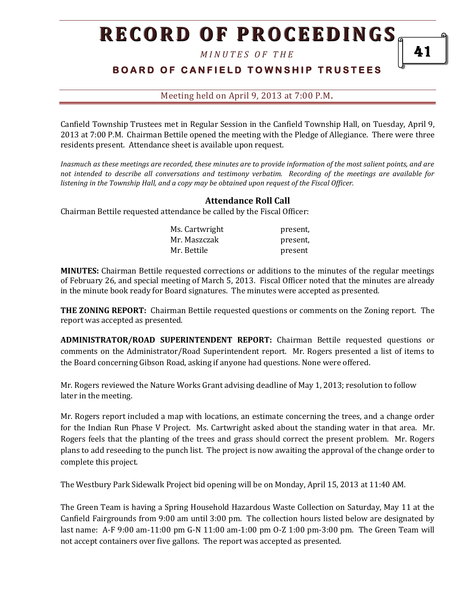*M I N U T E S O F T H E* 

# **BOARD OF CANFIELD TOWNSHIP TRUSTEES**

Meeting held on April 9, 2013 at 7:00 P.M**.**

Canfield Township Trustees met in Regular Session in the Canfield Township Hall, on Tuesday, April 9, 2013 at 7:00 P.M. Chairman Bettile opened the meeting with the Pledge of Allegiance. There were three residents present. Attendance sheet is available upon request.

*Inasmuch as these meetings are recorded, these minutes are to provide information of the most salient points, and are not intended to describe all conversations and testimony verbatim. Recording of the meetings are available for listening in the Township Hall, and a copy may be obtained upon request of the Fiscal Officer.* 

### **Attendance Roll Call**

Chairman Bettile requested attendance be called by the Fiscal Officer:

| Ms. Cartwright | present, |
|----------------|----------|
| Mr. Maszczak   | present, |
| Mr. Bettile    | present  |

**MINUTES:** Chairman Bettile requested corrections or additions to the minutes of the regular meetings of February 26, and special meeting of March 5, 2013. Fiscal Officer noted that the minutes are already in the minute book ready for Board signatures. The minutes were accepted as presented.

**THE ZONING REPORT:** Chairman Bettile requested questions or comments on the Zoning report. The report was accepted as presented.

**ADMINISTRATOR/ROAD SUPERINTENDENT REPORT:** Chairman Bettile requested questions or comments on the Administrator/Road Superintendent report. Mr. Rogers presented a list of items to the Board concerning Gibson Road, asking if anyone had questions. None were offered.

Mr. Rogers reviewed the Nature Works Grant advising deadline of May 1, 2013; resolution to follow later in the meeting.

Mr. Rogers report included a map with locations, an estimate concerning the trees, and a change order for the Indian Run Phase V Project. Ms. Cartwright asked about the standing water in that area. Mr. Rogers feels that the planting of the trees and grass should correct the present problem. Mr. Rogers plans to add reseeding to the punch list. The project is now awaiting the approval of the change order to complete this project.

The Westbury Park Sidewalk Project bid opening will be on Monday, April 15, 2013 at 11:40 AM.

The Green Team is having a Spring Household Hazardous Waste Collection on Saturday, May 11 at the Canfield Fairgrounds from 9:00 am until 3:00 pm. The collection hours listed below are designated by last name: A-F 9:00 am-11:00 pm G-N 11:00 am-1:00 pm O-Z 1:00 pm-3:00 pm. The Green Team will not accept containers over five gallons. The report was accepted as presented.

41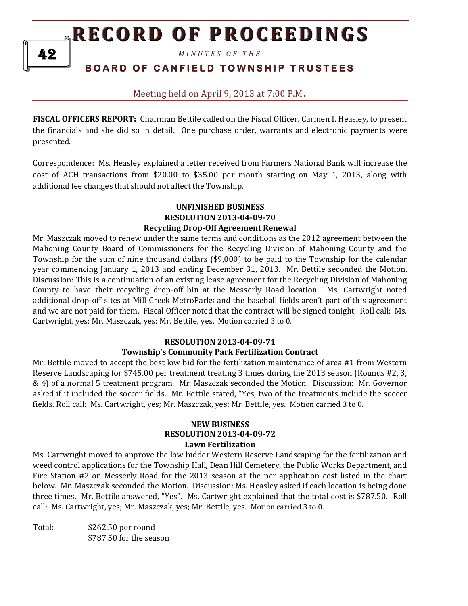*M I N U T E S O F T H E* 

## **B O A R D O F C A N F I E L D T O W N S H I P T R U S T E E S**

Meeting held on April 9, 2013 at 7:00 P.M**.**

**FISCAL OFFICERS REPORT:** Chairman Bettile called on the Fiscal Officer, Carmen I. Heasley, to present the financials and she did so in detail. One purchase order, warrants and electronic payments were presented.

Correspondence: Ms. Heasley explained a letter received from Farmers National Bank will increase the cost of ACH transactions from \$20.00 to \$35.00 per month starting on May 1, 2013, along with additional fee changes that should not affect the Township.

#### **UNFINISHED BUSINESS RESOLUTION 2013-04-09-70 Recycling Drop-Off Agreement Renewal**

Mr. Maszczak moved to renew under the same terms and conditions as the 2012 agreement between the Mahoning County Board of Commissioners for the Recycling Division of Mahoning County and the Township for the sum of nine thousand dollars (\$9,000) to be paid to the Township for the calendar year commencing January 1, 2013 and ending December 31, 2013. Mr. Bettile seconded the Motion. Discussion: This is a continuation of an existing lease agreement for the Recycling Division of Mahoning County to have their recycling drop-off bin at the Messerly Road location. Ms. Cartwright noted additional drop-off sites at Mill Creek MetroParks and the baseball fields aren't part of this agreement and we are not paid for them. Fiscal Officer noted that the contract will be signed tonight. Roll call: Ms. Cartwright, yes; Mr. Maszczak, yes; Mr. Bettile, yes. Motion carried 3 to 0.

## **RESOLUTION 2013-04-09-71**

#### **Township's Community Park Fertilization Contract**

Mr. Bettile moved to accept the best low bid for the fertilization maintenance of area #1 from Western Reserve Landscaping for \$745.00 per treatment treating 3 times during the 2013 season (Rounds #2, 3, & 4) of a normal 5 treatment program. Mr. Maszczak seconded the Motion. Discussion: Mr. Governor asked if it included the soccer fields. Mr. Bettile stated, "Yes, two of the treatments include the soccer fields. Roll call: Ms. Cartwright, yes; Mr. Maszczak, yes; Mr. Bettile, yes. Motion carried 3 to 0.

#### **NEW BUSINESS RESOLUTION 2013-04-09-72 Lawn Fertilization**

Ms. Cartwright moved to approve the low bidder Western Reserve Landscaping for the fertilization and weed control applications for the Township Hall, Dean Hill Cemetery, the Public Works Department, and Fire Station #2 on Messerly Road for the 2013 season at the per application cost listed in the chart below. Mr. Maszczak seconded the Motion. Discussion: Ms. Heasley asked if each location is being done three times. Mr. Bettile answered, "Yes". Ms. Cartwright explained that the total cost is \$787.50. Roll call: Ms. Cartwright, yes; Mr. Maszczak, yes; Mr. Bettile, yes. Motion carried 3 to 0.

Total: \$262.50 per round \$787.50 for the season

42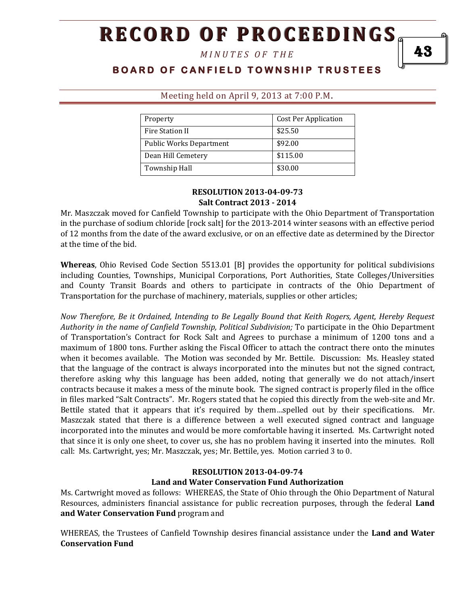*M I N U T E S O F T H E* 

# **BOARD OF CANFIELD TOWNSHIP TRUSTEES**

| Property                       | <b>Cost Per Application</b> |
|--------------------------------|-----------------------------|
| Fire Station II                | \$25.50                     |
| <b>Public Works Department</b> | \$92.00                     |
| Dean Hill Cemetery             | \$115.00                    |
| Township Hall                  | \$30.00                     |

#### Meeting held on April 9, 2013 at 7:00 P.M**.**

#### **RESOLUTION 2013-04-09-73 Salt Contract 2013 - 2014**

Mr. Maszczak moved for Canfield Township to participate with the Ohio Department of Transportation in the purchase of sodium chloride [rock salt] for the 2013-2014 winter seasons with an effective period of 12 months from the date of the award exclusive, or on an effective date as determined by the Director at the time of the bid.

**Whereas**, Ohio Revised Code Section 5513.01 [B] provides the opportunity for political subdivisions including Counties, Townships, Municipal Corporations, Port Authorities, State Colleges/Universities and County Transit Boards and others to participate in contracts of the Ohio Department of Transportation for the purchase of machinery, materials, supplies or other articles;

*Now Therefore, Be it Ordained, Intending to Be Legally Bound that Keith Rogers, Agent, Hereby Request Authority in the name of Canfield Township, Political Subdivision;* To participate in the Ohio Department of Transportation's Contract for Rock Salt and Agrees to purchase a minimum of 1200 tons and a maximum of 1800 tons. Further asking the Fiscal Officer to attach the contract there onto the minutes when it becomes available. The Motion was seconded by Mr. Bettile. Discussion: Ms. Heasley stated that the language of the contract is always incorporated into the minutes but not the signed contract, therefore asking why this language has been added, noting that generally we do not attach/insert contracts because it makes a mess of the minute book. The signed contract is properly filed in the office in files marked "Salt Contracts". Mr. Rogers stated that he copied this directly from the web-site and Mr. Bettile stated that it appears that it's required by them…spelled out by their specifications. Mr. Maszczak stated that there is a difference between a well executed signed contract and language incorporated into the minutes and would be more comfortable having it inserted. Ms. Cartwright noted that since it is only one sheet, to cover us, she has no problem having it inserted into the minutes. Roll call: Ms. Cartwright, yes; Mr. Maszczak, yes; Mr. Bettile, yes. Motion carried 3 to 0.

### **RESOLUTION 2013-04-09-74 Land and Water Conservation Fund Authorization**

Ms. Cartwright moved as follows: WHEREAS, the State of Ohio through the Ohio Department of Natural Resources, administers financial assistance for public recreation purposes, through the federal **Land and Water Conservation Fund** program and

WHEREAS, the Trustees of Canfield Township desires financial assistance under the **Land and Water Conservation Fund** 

43